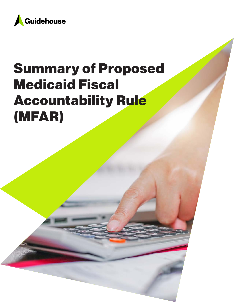

# Summary of Proposed Medicaid Fiscal Accountability Rule (MFAR)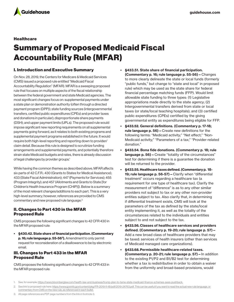

## **Healthcare**

# Summary of Proposed Medicaid Fiscal Accountability Rule (MFAR)

#### I. Introduction and Executive Summary

On Nov. 28, 2019, the Centers for Medicare & Medicaid Services (CMS) issued a proposed rule entitled "Medicaid Fiscal Accountability Regulation" (MFAR). MFAR is a sweeping proposed rule that focuses on multiple aspects of the fiscal relationship between the federal government and state Medicaid agencies. The most significant changes focus on: supplemental payments under a state plan or demonstration authority (often through a directed payment program (DPP)); state funding sources (intergovernmental transfers, certified public expenditures (CPEs) and provider taxes and donations in particular); disproportionate share payments (DSH); and upper payment limits (UPLs). The proposed rule would impose significant new reporting requirements on all supplemental payments going forward, as it relates to both existing programs and supplemental payment programs established in the future. It would require both high-level reporting and reporting down to provider/ claim detail. Because this rule is designed to scrutinize funding arrangements and supplemental payments, and potentially therefore strain state Medicaid budgets and rates, there is already discussion of legal challenges by provider groups.<sup>1</sup>

While having the common themes as described above, MFAR affects six parts of 42 C.F.R.: 430 (Grants to States for Medical Assistance); 433 (State Fiscal Administration); 447 (Payments for Services); 455 (Program Integrity); and 457 (Allotments and Grants to State [for Children's Health Insurance Program (CHIP)]). Below is a summary of the most relevant changes/additions to each part. This is a very high-level summary; however, references are provided to CMS commentary and new proposed rule language.2

#### II. Changes to Part 430 in the MFAR Proposed Rule

CMS proposes the following significant changes to 42 CFR 430 in the MFAR proposed rule:

• §430.42. State share of financial participation. (Commentary p. 16; rule language p. 55-56<sup>3</sup>). Amendment to only permit request for reconsideration of a disallowance to be by electronic email.

## III. Changes to Part 433 in the MFAR Proposed Rule

CMS proposes the following significant changes to 42 CFR 433 in the MFAR proposed rule:

- §433.51. State share of financial participation. (Commentary p. 16; rule language p. 55-56)—Changes to more clearly delineate the state or local funds (formerly "public funds," but change to "state and local" in proposed rule) which may be used as the state share for federal financial percentage matching funds (FFP). Would limit allowable state funding to three types: (1) Legislative appropriations made directly to the state agency; (2) Intergovernmental transfers derived from state or local taxes (or state/local teaching hospitals); and (3) certified public expenditures (CPEs) certified by the giving governmental entity as expenditures being eligible for FFP.
- §433.52. General definitions. (Commentary p. 17-18; rule language p. 56)—Create new definitions for the following terms: "Medicaid activity;" "Net effect;" "Non-Medicaid activity;" "Parameters of a tax;" "Provider-related donation."
- §433.54. Bona fide donations. (Commentary p. 18; rule language p. 56) – Create "totality of the circumstances" test for determining if there is a guarantee the donation will be returned to the provider.
- §433.55. Healthcare taxes defined. (Commentary p. 18- 19; rule language p. 56-57)—Clarify when "differential treatment" occurs regarding a healthcare tax (a requirement for one type of healthcare tax). Clarify the measurement of "difference" is as to any other similar providers not subject to tax or any other non-provider entities subject to tax. Also clarify that, in determining if differential treatment exists, CMS will look at the parameters of the tax as defined by the state/local entity implementing it, as well as the totality of the circumstances related to the individuals and entities subject to and not subject to the tax.
- §433.56. Classes of healthcare services and providers defined. (Commentary p. 19-20; rule language p. 57)— Add a new broad class of healthcare providers that may be taxed: services of health insurers (other than services of Medicaid managed care organizations).
- §433.68. Permissible healthcare-related taxes. (Commentary p. 20-21; rule language p. 57)—In addition to the existing P1/P2 and B1/B2 test for determining whether a tax is redistributive in order to obtain a waiver from the uniformity and broad-based provisions, would

<sup>1.</sup> See, for example: [https://news.bloomberglaw.com/health-law-and-business/trump-plan-to-tame-state-medicaid-finance-schemes-sees-pushback.](https://news.bloomberglaw.com/health-law-and-business/trump-plan-to-tame-state-medicaid-finance-schemes-sees-pushback)

<sup>2.</sup> See link to proposed rule here: <https://www.govinfo.gov/content/pkg/FR-2019-11-18/pdf/2019-24763.pdf>. This can be useful if you want to read the actual new rule language, or

commentary from CMS on the new rule, as referenced in each bullet.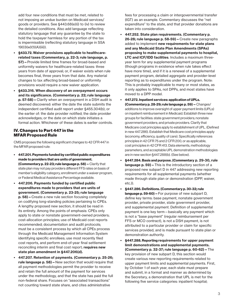add four new conditions that must be met, related to not imposing an undue burden on Medicaid services/ goods or providers. See §443.68(e)(i) to (iv) to review the detailed conditions. Also add language reflecting statutory language that any guarantee by the state to hold the taxpayer harmless for any portion of the tax is impermissible (reflecting statutory language in SSA 1903(w)(1)(A)(iii)).

- §433.72. Waiver provisions applicable to healthcarerelated taxes (Commentary, p. 22-3; rule language, p. 57)—Provide limited time frames for broad-based and uniformity waivers for healthcare-related taxes: three years from date of approval; or, if waiver exists when rule becomes final, three years from that date. Any material changes to tax affecting broad-based or uniformity provisions would require a new waiver application.
- §433.316. When discovery of an overpayment occurs and its significance. (Commentary p. 22; rule language p. 57-58)—Clarify when an overpayment in a DSH audit is deemed discovered: either the date the state submits the independent certified audit report under §455.304(b); or the earlier of: the date provider notified; the date provider acknowledges; or the date on which state initiates a formal action. Whichever of these dates is earlier controls.

#### IV. Changes to Part 447 in the MFAR Proposed Rule

CMS proposes the following significant changes to 42 CFR 447 in the MFAR proposed rule:

- 447.201. Payments funded by certified public expenditures made to providers that are units of government. (Commentary p. 22-23; rule language p. 58) - Clarify that state plan may not pay providers different FFS rates on basis of member's eligibility category, enrollment under a waiver program, or Federal Medical Assistance Percentage available.
- 447.206. Payments funded by certified public expenditures made to providers that are units of government. (Commentary p. 23-25; rule language p. 58)—Create a new rule section focusing completely on codifying long-standing policies pertaining to CPEs. A lengthy proposed new section, it should be read in its entirety. Among the points of emphasis: CPEs only apply to state or nonstate government-owned providers; cost-allocation principles; use of Medicaid cost reports recommended; documentation and audit protocols; must be a consistent process by which all CPEs process through the Medicaid Management Information System identifying specific enrollees; use most recently filed cost reports, and perform end-of-year final settlement reconciling interim and final cost report; requires new state plan amendment in §447.206(d).
- 447.207. Retention of payments. (Commentary p. 25-26; rule language p. 58)—New section that would require that all payment methodologies permit the provider to receive and retain the full amount of the payment for services under the methodology, and that the state has paid the full non-federal share. Focuses on "associated transactions" not counting toward state share, and cites administrative

fees for processing a claim or intergovernmental transfer (IGT) as an example. Commentary discusses the "net expenditure" to the state, and that provider donations are taken into consideration.

- 447.252. State plan requirements. (Commentary p. 26-28; rule language p. 58-59)—Create new paragraphs added to implement new requirements for state plans and any Medicaid State Plan Amendments (SPAs) proposing to make supplemental payments to hospital, LTC and ICF/IDD facilities. Includes a maximum threeyear term for any supplemental payment programs (though programs in existence when rule takes effect have more time), and if it is a renewal of a supplemental payment program, detailed aggregate and provider-level reporting as to expenditures under the program. Note: This is probably inapplicable to many or most states, as it only applies to SPAs, not DPPs, and most states have moved to a DPP model.
- 447.272. Inpatient services: application of UPLs. (Commentary p. 28-29; rule language p. 59)—Changes/ additions to improve oversight of upper payment limits (UPLs) on inpatient reimbursement in Medicaid. Establish three new groups for facilities: state government providers; nonstate government providers; and private providers. Clarify that Medicare cost principles apply to establishment of UPL. (Defined in new 447.286). Establish that Medicare cost principles apply (economy, efficiency, quality of care). Specifically references principles in 42 CFR 75 and 2 CFR 200, or as applicable, cost principles in 42 CFR 413. Data elements, methodology parameters, and acceptable UPL demonstration methodologies are in new section §447.288(b). (See below).
- §447.284. Basis and purpose. (Commentary p. 29-30, rule language p. 59) – This is the introductory section of a proposed new subpart D in 447 addressing new reporting requirements for all supplemental payments (whether made through state plan or demonstration (DPP, waiver, etc.)).
- §447.286. Definitions. (Commentary p. 30-32; rule language p. 59-60) – For purpose of new subpart D, define key terms: base payment, nonstate government provider, private provider, state government provider, and supplemental payment. Definition of supplemental payment is one key term—basically any payment which is not a "base payment" (regular reimbursement per FFS or MCO contract), is not a DSH payment, is not attributed to a particular provider or claim for specific services provided, and is made pursuant to state plan or demonstration authority.
- §447.288. Reporting requirements for upper payment limit demonstrations and supplemental payments. (Commentary p. 32-37; rule language p. 60-62)—The key provision of new subpart D, this section would create various new reporting requirements related to upper payment limits and supplemental payments. First, by October 1 of each year, each state must prepare and submit, in a format and manner as determined by the Secretary, a demonstration that UPL is met for the following five service categories: inpatient hospital;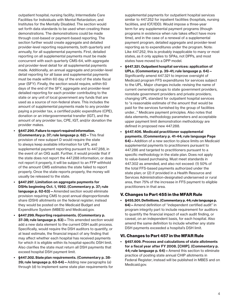outpatient hospital; nursing facility; Intermediate Care Facilities for Individuals with Mental Retardation; and Institutes for the Mentally Disabled. The section would set forth data standards to be used when creating these demonstrations. The demonstrations could be made through cost-based or payment-based reporting. The section further would create aggregate and detailed provider-level reporting requirements, both quarterly and annually, for all supplemental payments. First, detailed reporting on all supplemental payments must be made concurrent with each quarterly CMS-64, with aggregate and provider-level detail for all supplemental payments made. Additionally, an annual aggregate and provider-level detail reporting for all base and supplemental payments must be made within 60 day of the end of the state fiscal year (SFY). Finally, the section would require, within 60 days of the end of the SFY, aggregate and provider-level detailed reporting for each provider contributing to the state or any unit of local government any funds that are used as a source of non-federal share. This includes the amount of supplemental payments made to any provider paying a provider tax, a certified public expenditure (CPE), donation or an intergovernmental transfer (IGT), and the amount of any provider tax, CPE, IGT, and/or donation the provider makes.

- §447.290. Failure to report required information. (Commentary p. 37; rule language p. 62)—This final provision of new subpart D would require the state to always keep available information for UPL and supplemental payment reporting pursuant to 447.288, in the event of an OIG audit. Further, it would provide that if the state does not report the 447.288 information, or does not report it properly, it will be subject to an FFP withhold of the amount CMS estimates the state failed to report properly. Once the state reports properly, the money will usually be released to the state.
- §447.297. Limitation on aggregate payments for DSHs beginning Oct. 1, 1992. (Commentary p. 37; rule language p. 62-63)—Amended section would eliminate provision requiring CMS to post annual disproportionate share (DSH) allotments on the federal register; instead they would be posted on the Medicaid Budget and Expenditure System (MBES) and Medicaid.gov.
- §447.299. Reporting requirements. (Commentary p. 37-38; rule language p. 63) - This amended section would add a new data element to the current DSH audit process. Specifically, would require the DSH auditors to quantify, or at least estimate, the financial impact of any finding that may affect whether each hospital has received payments for which it is eligible within its hospital-specific DSH limit. Also clarifies the state must return all DSH payments that exceed hospital DSH payment limit.
- §447.302. State plan requirements. (Commentary p. 38- 39; rule language p. 63-64)—Adding new paragraphs (a) through (d) to implement same state plan requirements for

supplemental payments for outpatient hospital services similar to 447.252 for inpatient facilities (hospitals, nursing facilities, and ICF/IDD). Would impose a three-year term for any supplemental payment programs (though programs in existence when rule takes effect have more time), and in the case of a renewal of a supplemental payment program, detailed aggregate and provider-level reporting as to expenditures under the program. Note: Like 447.252, this is probably inapplicable to many or most states, as it only applies to SPAs, not DPPs, and most states have moved to a DPP model.

- §447.321. Outpatient hospital services: application of UPLs. (Commentary p. 39-41; rule language p. 64)— Significantly amend 447.321 to improve oversight of Medicaid program FFS expenditures for services subject to the UPL. Major changes include: revising the name of current ownership groups to state government providers, nonstate government providers and private providers; changing UPL standard for outpatient hospital services to "a reasonable estimate of the amount that would be paid for the services furnished by the group of facilities under…" Medicare payment principles. Also notes that data elements, methodology parameters and acceptable upper payment limit demonstration methodology are defined in proposed new 447.288.
- §447.406. Medicaid practitioner supplemental payments. (Commentary p. 41-44; rule language Page 64)—Addition of a new section to place limits on Medicaid supplemental payments to practitioners pursuant to 447.286 and targeted to practitioners pursuant to a specific methodology in the state plan. Does not apply to value-based purchasing. Must meet standards in 447.302 as amended, and also not exceed: (1) 50% of the total FFS-based payments authorized under the state plan; or (2) if provided in a Health Resource and Services Administration-designated underserved or rural area, then 75% of the increase in FFS payment to eligible practitioners in that area.

# V. Changes to Part 455 in the MFAR Rule

• §455.301. Definitions. (Commentary p. 44; rule language p. 64)—Amend definition of "independent certified audit" in program integrity part to include requirement for auditors to quantify the financial impact of each audit finding, or caveat, on an independent basis, for each hospital. Also amend the same definition to include whether any state DSH payments exceeded a hospital's DSH limit.

# VI. Changes to Part 457 in the MFAR Rule

• §457.609. Process and calculations of state allotments for a fiscal year after FY 2008. [CHIP]. (Commentary p. 44; rule language p. 64) – Amend this section to eliminate practice of posting state annual CHIP allotments in Federal Register; instead will be published in MBES and on Medicaid.gov.